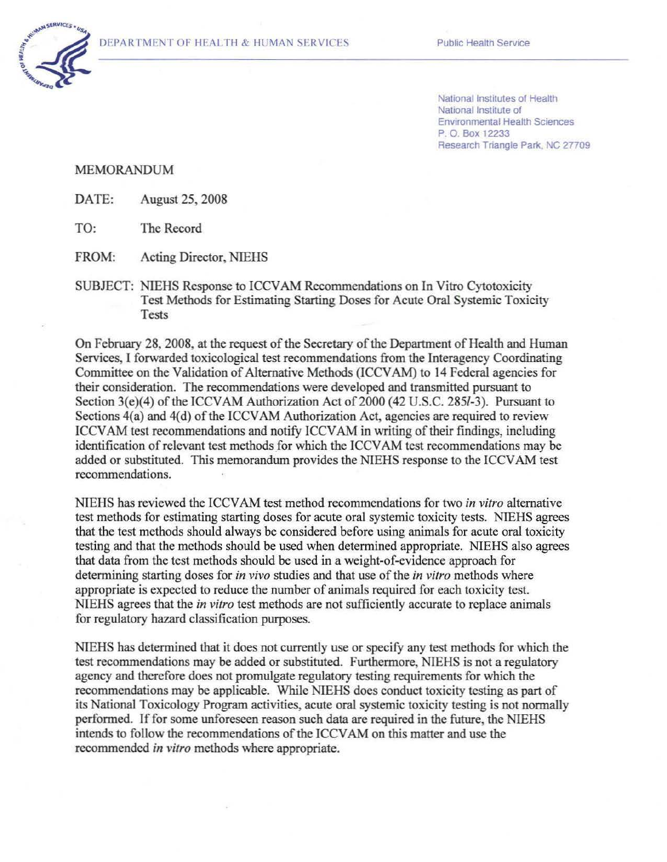

National Institutes of Health National Institute of Environmental Health Sciences P. 0 Box 12233 Research Triangle Park. NC 27709

## MEMORANDUM

DATE: August 25, 2008

TO: The Record

FROM: Acting Director, NIEHS

SUBJECT: NIEHS Response to ICCVAM Recommendations on In Vitro Cytotoxicity Test Methods for Estimating Starting Doses for Acute Oral Systemic Toxicity Tests

On February 28, 2008, at the request of the Secretary of the Department of Health and Human Services, I forwarded toxicological test recommendations from the Interagency Coordinating Committee on the Validation of Alternative Methods (ICCVAM) to 14 Federal agencies for their consideration. The recommendations were developed and transmitted pursuant to Section 3(e)(4) of the ICCVAM Authorization Act of 2000 (42 U.S.C. 285l-3). Pursuant to Sections 4(a) and 4(d) of the ICCVAM Authorization Act, agencies are required to review ICCVAM test recommendations and notify ICCVAM in writing of their findings, including identification of relevant test methods for which the ICCVAM test recommendations may be added or substituted. This memorandum provides the NIEHS response to the ICCV AM test recommendations.

NIEHS has reviewed the ICCV AM test method recommendations for two *in vitro* alternative test methods for estimating starting doses for acute oral systemic toxicity tests. NIEHS agrees that the test methods should always be considered before using animals for acute oral toxicity testing and that the methods should be used when determined appropriate. NIEHS also agrees that data from the test methods should be used in a weight-of-evidence approach for determining starting doses for *in vivo* studies and that use of the *in vitro* methods where appropriate is expected to reduce the number of animals required for each toxicity test. NIEHS agrees that the *in vitro* test methods are not sufficiently accurate to replace animals for regulatory hazard classification purposes.

NIEHS has determined that it does not currently use or specify any test methods for which the test recommendations may be added or substituted. Furthermore, NIEHS is not a regulatory agency and therefore does not promulgate regulatory testing requirements for which the recommendations may be applicable. While NIEHS does conduct toxicity testing as part of its National Toxicology Program activities, acute oral systemic toxicity testing is not normally performed. Iffor some unforeseen reason such data are required in the future, the NIEHS intends to follow the recommendations of the ICCVAM on this matter and use the recommended *in vitro* methods where appropriate.